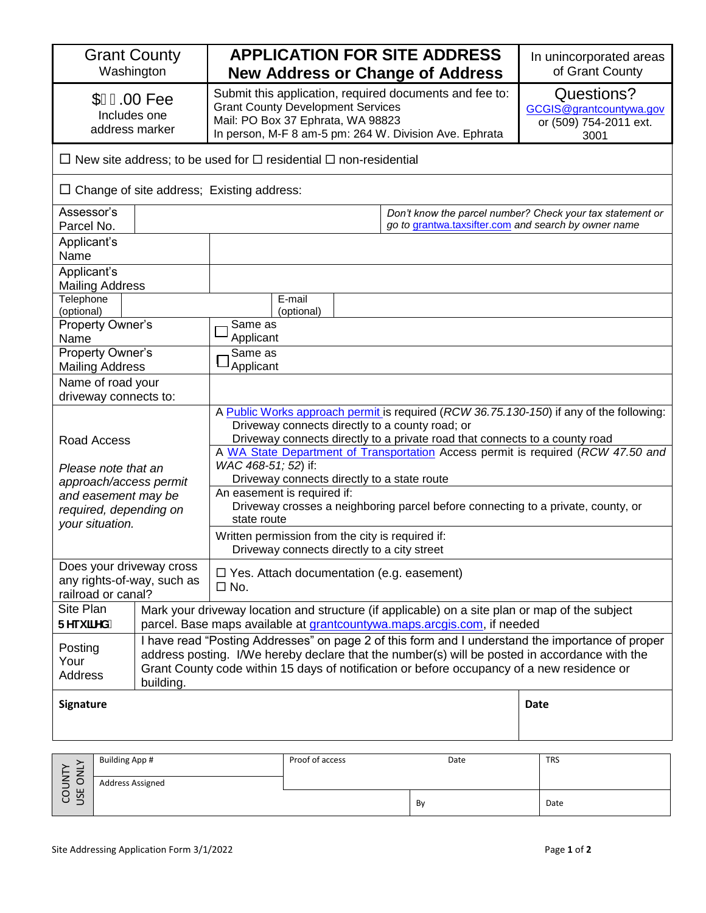| <b>Grant County</b><br>Washington                                                 |                                                                                                                                                                                                                                                                                                              | <b>APPLICATION FOR SITE ADDRESS</b><br><b>New Address or Change of Address</b>                                                                                                                                                                                                                                |                 |      | In unincorporated areas<br>of Grant County                              |
|-----------------------------------------------------------------------------------|--------------------------------------------------------------------------------------------------------------------------------------------------------------------------------------------------------------------------------------------------------------------------------------------------------------|---------------------------------------------------------------------------------------------------------------------------------------------------------------------------------------------------------------------------------------------------------------------------------------------------------------|-----------------|------|-------------------------------------------------------------------------|
| $$I \in 00$ Fee<br>Includes one<br>address marker                                 |                                                                                                                                                                                                                                                                                                              | Submit this application, required documents and fee to:<br><b>Grant County Development Services</b><br>Mail: PO Box 37 Ephrata, WA 98823<br>In person, M-F 8 am-5 pm: 264 W. Division Ave. Ephrata                                                                                                            |                 |      | Questions?<br>GCGIS@grantcountywa.gov<br>or (509) 754-2011 ext.<br>3001 |
| $\Box$ New site address; to be used for $\Box$ residential $\Box$ non-residential |                                                                                                                                                                                                                                                                                                              |                                                                                                                                                                                                                                                                                                               |                 |      |                                                                         |
| $\Box$ Change of site address; Existing address:                                  |                                                                                                                                                                                                                                                                                                              |                                                                                                                                                                                                                                                                                                               |                 |      |                                                                         |
| Assessor's<br>Parcel No.                                                          |                                                                                                                                                                                                                                                                                                              | Don't know the parcel number? Check your tax statement or<br>go to grantwa.taxsifter.com and search by owner name                                                                                                                                                                                             |                 |      |                                                                         |
| Applicant's<br>Name                                                               |                                                                                                                                                                                                                                                                                                              |                                                                                                                                                                                                                                                                                                               |                 |      |                                                                         |
| Applicant's<br><b>Mailing Address</b>                                             |                                                                                                                                                                                                                                                                                                              |                                                                                                                                                                                                                                                                                                               |                 |      |                                                                         |
| Telephone<br>E-mail<br>(optional)<br>(optional)                                   |                                                                                                                                                                                                                                                                                                              |                                                                                                                                                                                                                                                                                                               |                 |      |                                                                         |
| Property Owner's<br>Name                                                          |                                                                                                                                                                                                                                                                                                              | Same as<br>Applicant                                                                                                                                                                                                                                                                                          |                 |      |                                                                         |
| Property Owner's<br><b>Mailing Address</b>                                        |                                                                                                                                                                                                                                                                                                              | Same as<br>Applicant                                                                                                                                                                                                                                                                                          |                 |      |                                                                         |
| Name of road your<br>driveway connects to:                                        |                                                                                                                                                                                                                                                                                                              |                                                                                                                                                                                                                                                                                                               |                 |      |                                                                         |
| Road Access                                                                       |                                                                                                                                                                                                                                                                                                              | A Public Works approach permit is required (RCW 36.75.130-150) if any of the following:<br>Driveway connects directly to a county road; or<br>Driveway connects directly to a private road that connects to a county road<br>A WA State Department of Transportation Access permit is required (RCW 47.50 and |                 |      |                                                                         |
| Please note that an<br>approach/access permit                                     |                                                                                                                                                                                                                                                                                                              | WAC 468-51; 52) if:<br>Driveway connects directly to a state route                                                                                                                                                                                                                                            |                 |      |                                                                         |
| and easement may be<br>required, depending on<br>your situation.                  |                                                                                                                                                                                                                                                                                                              | An easement is required if:<br>Driveway crosses a neighboring parcel before connecting to a private, county, or<br>state route                                                                                                                                                                                |                 |      |                                                                         |
|                                                                                   |                                                                                                                                                                                                                                                                                                              | Written permission from the city is required if:<br>Driveway connects directly to a city street                                                                                                                                                                                                               |                 |      |                                                                         |
| Does your driveway cross<br>any rights-of-way, such as<br>railroad or canal?      |                                                                                                                                                                                                                                                                                                              | $\Box$ Yes. Attach documentation (e.g. easement)<br>$\square$ No.                                                                                                                                                                                                                                             |                 |      |                                                                         |
| Site Plan<br>FYei JfYXÁ                                                           |                                                                                                                                                                                                                                                                                                              | Mark your driveway location and structure (if applicable) on a site plan or map of the subject<br>parcel. Base maps available at <i>grantcountywa.maps.arcgis.com</i> , if needed                                                                                                                             |                 |      |                                                                         |
| Posting<br>Your<br><b>Address</b>                                                 | I have read "Posting Addresses" on page 2 of this form and I understand the importance of proper<br>address posting. I/We hereby declare that the number(s) will be posted in accordance with the<br>Grant County code within 15 days of notification or before occupancy of a new residence or<br>building. |                                                                                                                                                                                                                                                                                                               |                 |      |                                                                         |
| Signature                                                                         |                                                                                                                                                                                                                                                                                                              |                                                                                                                                                                                                                                                                                                               |                 |      | <b>Date</b>                                                             |
| <b>Building App #</b>                                                             |                                                                                                                                                                                                                                                                                                              |                                                                                                                                                                                                                                                                                                               | Proof of access | Date | <b>TRS</b>                                                              |
| <b>JSE ONLY</b><br>COUNTY                                                         | Address Assigned                                                                                                                                                                                                                                                                                             |                                                                                                                                                                                                                                                                                                               |                 |      |                                                                         |
|                                                                                   |                                                                                                                                                                                                                                                                                                              |                                                                                                                                                                                                                                                                                                               |                 | By   | Date                                                                    |
| Site Addressing Application Form 3/1/2022                                         |                                                                                                                                                                                                                                                                                                              |                                                                                                                                                                                                                                                                                                               |                 |      | Page 1 of 2                                                             |